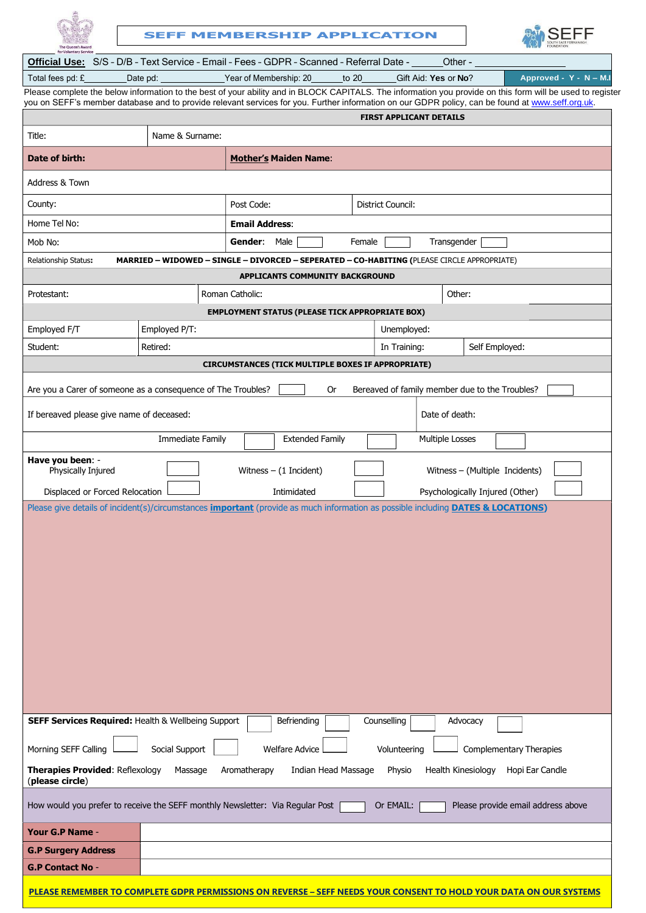|                                                                                                                                                                                                                                                        |                  |                 | <b>SEFF MEMBERSHIP APPLICATION</b>                                                                                                                                 |        |              |                                                |  |                                                                                                                                                            |
|--------------------------------------------------------------------------------------------------------------------------------------------------------------------------------------------------------------------------------------------------------|------------------|-----------------|--------------------------------------------------------------------------------------------------------------------------------------------------------------------|--------|--------------|------------------------------------------------|--|------------------------------------------------------------------------------------------------------------------------------------------------------------|
| <b>Official Use:</b> S/S - D/B - Text Service - Email - Fees - GDPR - Scanned - Referral Date -                                                                                                                                                        |                  |                 |                                                                                                                                                                    |        |              | Other -                                        |  |                                                                                                                                                            |
| Total fees pd: £                                                                                                                                                                                                                                       | Date pd:         |                 | Year of Membership: 20                                                                                                                                             | to 20  |              | Gift Aid: Yes or No?                           |  | Approved - Y - N - M.I                                                                                                                                     |
|                                                                                                                                                                                                                                                        |                  |                 |                                                                                                                                                                    |        |              |                                                |  | Please complete the below information to the best of your ability and in BLOCK CAPITALS. The information you provide on this form will be used to register |
|                                                                                                                                                                                                                                                        |                  |                 |                                                                                                                                                                    |        |              | <b>FIRST APPLICANT DETAILS</b>                 |  | you on SEFF's member database and to provide relevant services for you. Further information on our GDPR policy, can be found at www.seff.org.uk.           |
|                                                                                                                                                                                                                                                        |                  |                 |                                                                                                                                                                    |        |              |                                                |  |                                                                                                                                                            |
| Title:                                                                                                                                                                                                                                                 | Name & Surname:  |                 |                                                                                                                                                                    |        |              |                                                |  |                                                                                                                                                            |
| Date of birth:                                                                                                                                                                                                                                         |                  |                 | <b>Mother's Maiden Name:</b>                                                                                                                                       |        |              |                                                |  |                                                                                                                                                            |
| Address & Town                                                                                                                                                                                                                                         |                  |                 |                                                                                                                                                                    |        |              |                                                |  |                                                                                                                                                            |
| County:                                                                                                                                                                                                                                                |                  |                 | Post Code:<br>District Council:                                                                                                                                    |        |              |                                                |  |                                                                                                                                                            |
| Home Tel No:                                                                                                                                                                                                                                           |                  |                 | <b>Email Address:</b>                                                                                                                                              |        |              |                                                |  |                                                                                                                                                            |
| Mob No:                                                                                                                                                                                                                                                |                  | Gender:         | Male                                                                                                                                                               | Female |              | Transgender                                    |  |                                                                                                                                                            |
| <b>Relationship Status:</b>                                                                                                                                                                                                                            |                  |                 | MARRIED - WIDOWED - SINGLE - DIVORCED - SEPERATED - CO-HABITING (PLEASE CIRCLE APPROPRIATE)                                                                        |        |              |                                                |  |                                                                                                                                                            |
|                                                                                                                                                                                                                                                        |                  |                 | APPLICANTS COMMUNITY BACKGROUND                                                                                                                                    |        |              |                                                |  |                                                                                                                                                            |
| Protestant:                                                                                                                                                                                                                                            |                  | Roman Catholic: |                                                                                                                                                                    |        |              | Other:                                         |  |                                                                                                                                                            |
|                                                                                                                                                                                                                                                        |                  |                 | <b>EMPLOYMENT STATUS (PLEASE TICK APPROPRIATE BOX)</b>                                                                                                             |        |              |                                                |  |                                                                                                                                                            |
| Employed F/T                                                                                                                                                                                                                                           | Employed P/T:    |                 |                                                                                                                                                                    |        | Unemployed:  |                                                |  |                                                                                                                                                            |
| Student:                                                                                                                                                                                                                                               | Retired:         |                 |                                                                                                                                                                    |        | In Training: |                                                |  | Self Employed:                                                                                                                                             |
|                                                                                                                                                                                                                                                        |                  |                 |                                                                                                                                                                    |        |              |                                                |  |                                                                                                                                                            |
|                                                                                                                                                                                                                                                        |                  |                 | <b>CIRCUMSTANCES (TICK MULTIPLE BOXES IF APPROPRIATE)</b>                                                                                                          |        |              |                                                |  |                                                                                                                                                            |
| Are you a Carer of someone as a consequence of The Troubles?                                                                                                                                                                                           |                  |                 | 0r                                                                                                                                                                 |        |              | Bereaved of family member due to the Troubles? |  |                                                                                                                                                            |
| If bereaved please give name of deceased:                                                                                                                                                                                                              |                  |                 |                                                                                                                                                                    |        |              | Date of death:                                 |  |                                                                                                                                                            |
|                                                                                                                                                                                                                                                        | Immediate Family |                 | <b>Extended Family</b>                                                                                                                                             |        |              | Multiple Losses                                |  |                                                                                                                                                            |
|                                                                                                                                                                                                                                                        |                  |                 |                                                                                                                                                                    |        |              |                                                |  |                                                                                                                                                            |
| Physically Injured                                                                                                                                                                                                                                     |                  |                 | Witness $-$ (1 Incident)                                                                                                                                           |        |              | Witness - (Multiple Incidents)                 |  |                                                                                                                                                            |
| Have you been: -<br>Displaced or Forced Relocation                                                                                                                                                                                                     |                  |                 | Intimidated<br>Please give details of incident(s)/circumstances <i>important</i> (provide as much information as possible including <b>DATES &amp; LOCATIONS</b> ) |        |              | Psychologically Injured (Other)                |  |                                                                                                                                                            |
|                                                                                                                                                                                                                                                        |                  |                 |                                                                                                                                                                    |        |              |                                                |  |                                                                                                                                                            |
|                                                                                                                                                                                                                                                        |                  |                 | Befriending                                                                                                                                                        |        | Counselling  | Advocacy                                       |  |                                                                                                                                                            |
|                                                                                                                                                                                                                                                        | Social Support   |                 | <b>Welfare Advice</b>                                                                                                                                              |        | Volunteering |                                                |  | <b>Complementary Therapies</b>                                                                                                                             |
|                                                                                                                                                                                                                                                        | Massage          | Aromatherapy    | Indian Head Massage                                                                                                                                                |        | Physio       | Health Kinesiology                             |  | Hopi Ear Candle                                                                                                                                            |
|                                                                                                                                                                                                                                                        |                  |                 |                                                                                                                                                                    |        | Or EMAIL:    |                                                |  | Please provide email address above                                                                                                                         |
| <b>SEFF Services Required: Health &amp; Wellbeing Support</b><br>Morning SEFF Calling<br><b>Therapies Provided: Reflexology</b><br>(please circle)<br>How would you prefer to receive the SEFF monthly Newsletter: Via Regular Post<br>Your G.P Name - |                  |                 |                                                                                                                                                                    |        |              |                                                |  |                                                                                                                                                            |
| <b>G.P Surgery Address</b>                                                                                                                                                                                                                             |                  |                 |                                                                                                                                                                    |        |              |                                                |  |                                                                                                                                                            |